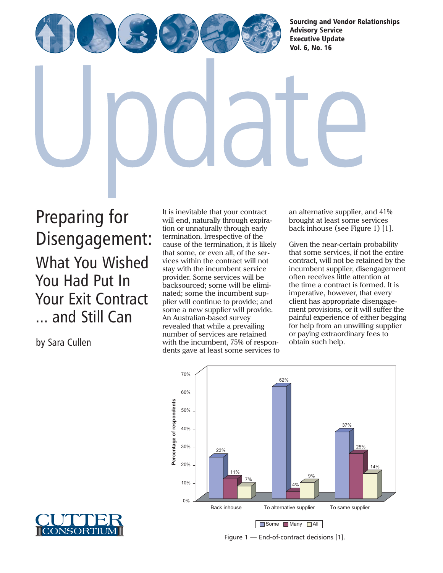[Sourcing and Vendor Relationships](http://www.cutter.com)  Advisory Service Executive Update Vol. 6, No. 16

Preparing for Disengagement: What You Wished You Had Put In Your Exit Contract ... and Still Can

It is inevitable that your contract will end, naturally through expiration or unnaturally through early termination. Irrespective of the cause of the termination, it is likely that some, or even all, of the services within the contract will not stay with the incumbent service provider. Some services will be backsourced; some will be eliminated; some the incumbent supplier will continue to provide; and some a new supplier will provide. An Australian-based survey revealed that while a prevailing number of services are retained with the incumbent, 75% of respondents gave at least some services to an alternative supplier, and 41% brought at least some services back inhouse (see Figure 1) [1].

Given the near-certain probability that some services, if not the entire contract, will not be retained by the incumbent supplier, disengagement often receives little attention at the time a contract is formed. It is imperative, however, that every client has appropriate disengagement provisions, or it will suffer the painful experience of either begging for help from an unwilling supplier or paying extraordinary fees to obtain such help.



Figure 1 — End-of-contract decisions [1].



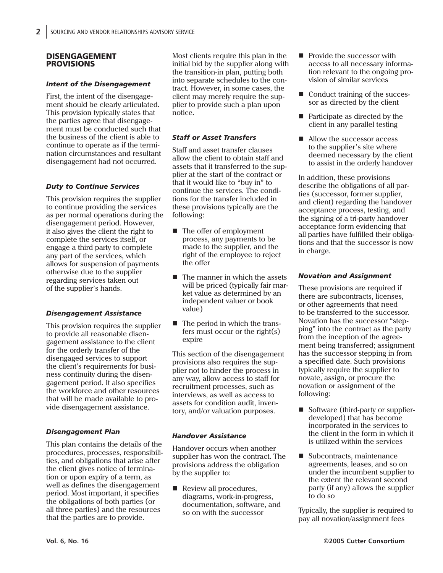#### DISENGAGEMENT PROVISIONS

#### *Intent of the Disengagement*

First, the intent of the disengagement should be clearly articulated. This provision typically states that the parties agree that disengagement must be conducted such that the business of the client is able to continue to operate as if the termination circumstances and resultant disengagement had not occurred.

# *Duty to Continue Services*

This provision requires the supplier to continue providing the services as per normal operations during the disengagement period. However, it also gives the client the right to complete the services itself, or engage a third party to complete any part of the services, which allows for suspension of payments otherwise due to the supplier regarding services taken out of the supplier's hands.

#### *Disengagement Assistance*

This provision requires the supplier to provide all reasonable disengagement assistance to the client for the orderly transfer of the disengaged services to support the client's requirements for business continuity during the disengagement period. It also specifies the workforce and other resources that will be made available to provide disengagement assistance.

# *Disengagement Plan*

This plan contains the details of the procedures, processes, responsibilities, and obligations that arise after the client gives notice of termination or upon expiry of a term, as well as defines the disengagement period. Most important, it specifies the obligations of both parties (or all three parties) and the resources that the parties are to provide.

Most clients require this plan in the initial bid by the supplier along with the transition-in plan, putting both into separate schedules to the contract. However, in some cases, the client may merely require the supplier to provide such a plan upon notice.

# *Staff or Asset Transfers*

Staff and asset transfer clauses allow the client to obtain staff and assets that it transferred to the supplier at the start of the contract or that it would like to "buy in" to continue the services. The conditions for the transfer included in these provisions typically are the following:

- The offer of employment process, any payments to be made to the supplier, and the right of the employee to reject the offer
- The manner in which the assets will be priced (typically fair market value as determined by an independent valuer or book value)
- The period in which the transfers must occur or the right(s) expire

This section of the disengagement provisions also requires the supplier not to hinder the process in any way, allow access to staff for recruitment processes, such as interviews, as well as access to assets for condition audit, inventory, and/or valuation purposes.

# *Handover Assistance*

Handover occurs when another supplier has won the contract. The provisions address the obligation by the supplier to:

Review all procedures, diagrams, work-in-progress, documentation, software, and so on with the successor

- Provide the successor with access to all necessary information relevant to the ongoing provision of similar services
- Conduct training of the successor as directed by the client
- $\blacksquare$  Participate as directed by the client in any parallel testing
- Allow the successor access to the supplier's site where deemed necessary by the client to assist in the orderly handover

In addition, these provisions describe the obligations of all parties (successor, former supplier, and client) regarding the handover acceptance process, testing, and the signing of a tri-party handover acceptance form evidencing that all parties have fulfilled their obligations and that the successor is now in charge.

#### *Novation and Assignment*

These provisions are required if there are subcontracts, licenses, or other agreements that need to be transferred to the successor. Novation has the successor "stepping" into the contract as the party from the inception of the agreement being transferred; assignment has the successor stepping in from a specified date. Such provisions typically require the supplier to novate, assign, or procure the novation or assignment of the following:

- Software (third-party or supplierdeveloped) that has become incorporated in the services to the client in the form in which it is utilized within the services
- Subcontracts, maintenance agreements, leases, and so on under the incumbent supplier to the extent the relevant second party (if any) allows the supplier to do so

Typically, the supplier is required to pay all novation/assignment fees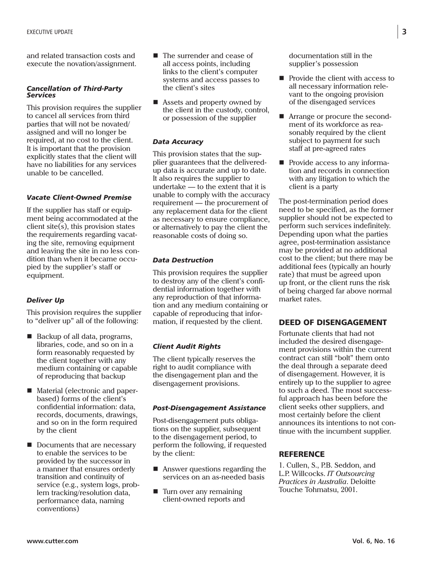and related transaction costs and execute the novation/assignment.

#### *Cancellation of Third-Party Services*

This provision requires the supplier to cancel all services from third parties that will not be novated/ assigned and will no longer be required, at no cost to the client. It is important that the provision explicitly states that the client will have no liabilities for any services unable to be cancelled.

# *Vacate Client-Owned Premise*

If the supplier has staff or equipment being accommodated at the client site(s), this provision states the requirements regarding vacating the site, removing equipment and leaving the site in no less condition than when it became occupied by the supplier's staff or equipment.

# *Deliver Up*

This provision requires the supplier to "deliver up" all of the following:

- Backup of all data, programs, libraries, code, and so on in a form reasonably requested by the client together with any medium containing or capable of reproducing that backup
- Material (electronic and paperbased) forms of the client's confidential information: data, records, documents, drawings, and so on in the form required by the client
- Documents that are necessary to enable the services to be provided by the successor in a manner that ensures orderly transition and continuity of service (e.g., system logs, problem tracking/resolution data, performance data, naming conventions)
- The surrender and cease of all access points, including links to the client's computer systems and access passes to the client's sites
- Assets and property owned by the client in the custody, control, or possession of the supplier

# *Data Accuracy*

This provision states that the supplier guarantees that the deliveredup data is accurate and up to date. It also requires the supplier to undertake — to the extent that it is unable to comply with the accuracy requirement — the procurement of any replacement data for the client as necessary to ensure compliance, or alternatively to pay the client the reasonable costs of doing so.

#### *Data Destruction*

This provision requires the supplier to destroy any of the client's confidential information together with any reproduction of that information and any medium containing or capable of reproducing that information, if requested by the client.

# *Client Audit Rights*

The client typically reserves the right to audit compliance with the disengagement plan and the disengagement provisions.

#### *Post-Disengagement Assistance*

Post-disengagement puts obligations on the supplier, subsequent to the disengagement period, to perform the following, if requested by the client:

- Answer questions regarding the services on an as-needed basis
- $\blacksquare$  Turn over any remaining client-owned reports and

documentation still in the supplier's possession

- Provide the client with access to all necessary information relevant to the ongoing provision of the disengaged services
- **E** Arrange or procure the secondment of its workforce as reasonably required by the client subject to payment for such staff at pre-agreed rates
- **Provide access to any informa**tion and records in connection with any litigation to which the client is a party

The post-termination period does need to be specified, as the former supplier should not be expected to perform such services indefinitely. Depending upon what the parties agree, post-termination assistance may be provided at no additional cost to the client; but there may be additional fees (typically an hourly rate) that must be agreed upon up front, or the client runs the risk of being charged far above normal market rates.

# DEED OF DISENGAGEMENT

Fortunate clients that had not included the desired disengagement provisions within the current contract can still "bolt" them onto the deal through a separate deed of disengagement. However, it is entirely up to the supplier to agree to such a deed. The most successful approach has been before the client seeks other suppliers, and most certainly before the client announces its intentions to not continue with the incumbent supplier.

# **REFERENCE**

1. Cullen, S., P.B. Seddon, and L.P. Willcocks. *IT Outsourcing Practices in Australia*. Deloitte Touche Tohmatsu, 2001.